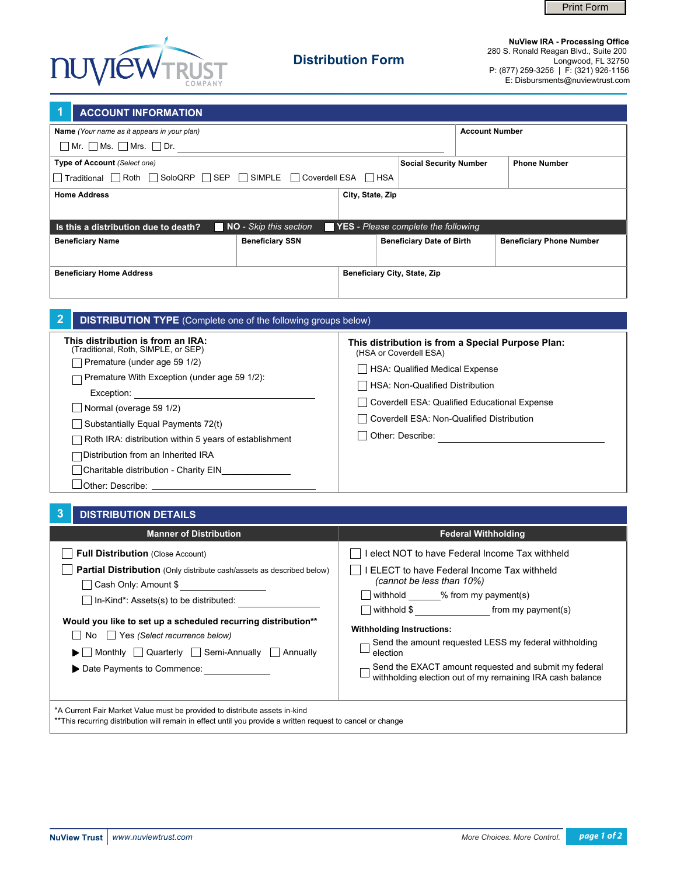



## **Distribution Form**

**NuView IRA - Processing Office** 280 S. Ronald Reagan Blvd., Suite 200 Longwood, FL 32750 P: (877) 259-3256 | F: (321) 926-1156 E: Disbursments@nuviewtrust.com

| <b>ACCOUNT INFORMATION</b>                                                                             |                                              |                                                                        |                                  |                            |                                 |  |
|--------------------------------------------------------------------------------------------------------|----------------------------------------------|------------------------------------------------------------------------|----------------------------------|----------------------------|---------------------------------|--|
| Name (Your name as it appears in your plan)                                                            | <b>Account Number</b>                        |                                                                        |                                  |                            |                                 |  |
| $\Box$ Mr. $\Box$ Ms. $\Box$ Mrs. $\Box$ Dr.                                                           |                                              |                                                                        |                                  |                            |                                 |  |
| Type of Account (Select one)                                                                           |                                              | <b>Social Security Number</b>                                          |                                  | <b>Phone Number</b>        |                                 |  |
| $\Box$ Traditional $\Box$ Roth $\Box$ SoloQRP $\Box$ SEP $\Box$ SIMPLE $\Box$ Coverdell ESA $\Box$ HSA |                                              |                                                                        |                                  |                            |                                 |  |
| <b>Home Address</b>                                                                                    |                                              | City, State, Zip                                                       |                                  |                            |                                 |  |
|                                                                                                        |                                              |                                                                        |                                  |                            |                                 |  |
| Is this a distribution due to death?<br>NO - Skip this section<br>YES - Please complete the following  |                                              |                                                                        |                                  |                            |                                 |  |
| <b>Beneficiary Name</b>                                                                                | <b>Beneficiary SSN</b>                       |                                                                        | <b>Beneficiary Date of Birth</b> |                            | <b>Beneficiary Phone Number</b> |  |
|                                                                                                        |                                              |                                                                        |                                  |                            |                                 |  |
| <b>Beneficiary Home Address</b>                                                                        | <b>Beneficiary City, State, Zip</b>          |                                                                        |                                  |                            |                                 |  |
|                                                                                                        |                                              |                                                                        |                                  |                            |                                 |  |
|                                                                                                        |                                              |                                                                        |                                  |                            |                                 |  |
| 2<br><b>DISTRIBUTION TYPE</b> (Complete one of the following groups below)                             |                                              |                                                                        |                                  |                            |                                 |  |
| This distribution is from an IRA:<br>This distribution is from a Special Purpose Plan:                 |                                              |                                                                        |                                  |                            |                                 |  |
| (Traditional, Roth, SIMPLE, or SEP)                                                                    |                                              | (HSA or Coverdell ESA)                                                 |                                  |                            |                                 |  |
| Premature (under age 59 1/2)                                                                           |                                              | HSA: Qualified Medical Expense                                         |                                  |                            |                                 |  |
| Premature With Exception (under age 59 1/2):                                                           | HSA: Non-Qualified Distribution              |                                                                        |                                  |                            |                                 |  |
| Exception: Exception:<br>Normal (overage 59 1/2)                                                       | Coverdell ESA: Qualified Educational Expense |                                                                        |                                  |                            |                                 |  |
| Substantially Equal Payments 72(t)                                                                     | Coverdell ESA: Non-Qualified Distribution    |                                                                        |                                  |                            |                                 |  |
| Roth IRA: distribution within 5 years of establishment                                                 | Other: Describe:                             |                                                                        |                                  |                            |                                 |  |
| Distribution from an Inherited IRA                                                                     |                                              |                                                                        |                                  |                            |                                 |  |
| Charitable distribution - Charity EIN                                                                  |                                              |                                                                        |                                  |                            |                                 |  |
|                                                                                                        |                                              |                                                                        |                                  |                            |                                 |  |
|                                                                                                        |                                              |                                                                        |                                  |                            |                                 |  |
| 3<br><b>DISTRIBUTION DETAILS</b>                                                                       |                                              |                                                                        |                                  |                            |                                 |  |
| <b>Manner of Distribution</b>                                                                          |                                              |                                                                        |                                  | <b>Federal Withholding</b> |                                 |  |
| <b>Full Distribution (Close Account)</b>                                                               |                                              |                                                                        |                                  |                            |                                 |  |
|                                                                                                        |                                              | I elect NOT to have Federal Income Tax withheld                        |                                  |                            |                                 |  |
| <b>Partial Distribution</b> (Only distribute cash/assets as described below)<br>Cash Only: Amount \$   |                                              | ELECT to have Federal Income Tax withheld<br>(cannot be less than 10%) |                                  |                            |                                 |  |

In-Kind\*: Assets(s) to be distributed:

No Yes *(Select recurrence below)*

Date Payments to Commence:

**Would you like to set up a scheduled recurring distribution\*\***

Monthly Quarterly Semi-Annually Annually

\*\*This recurring distribution will remain in effect until you provide a written request to cancel or change

\*A Current Fair Market Value must be provided to distribute assets in-kind

□ withhold \_\_\_\_\_\_% from my payment(s)

**Withholding Instructions:**

election

withhold \$ from my payment(s)

Send the amount requested LESS my federal withholding

Send the EXACT amount requested and submit my federal Send the EXAU Failboard requirements of the Containing IRA cash balance